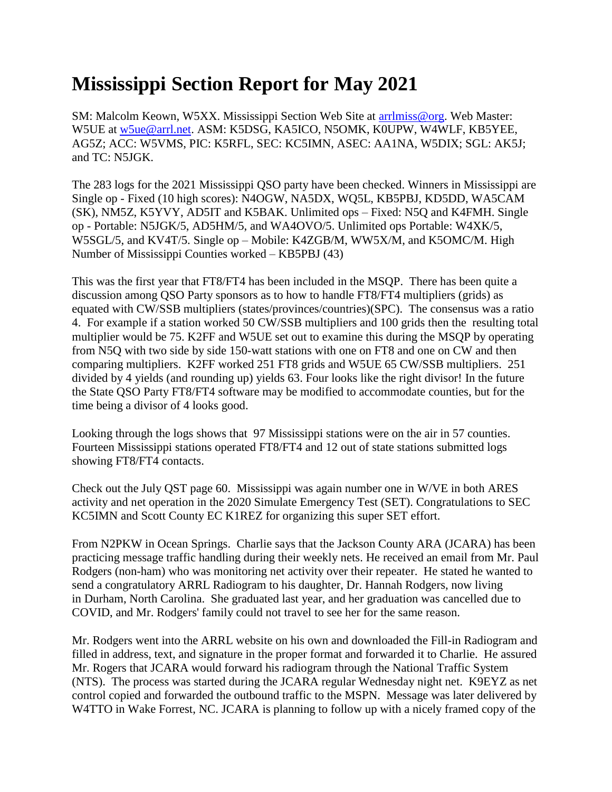## **Mississippi Section Report for May 2021**

SM: Malcolm Keown, W5XX. Mississippi Section Web Site at [arrlmiss@org.](mailto:arrlmiss@org) Web Master: W5UE at [w5ue@arrl.net.](mailto:w5ue@arrl.net) ASM: K5DSG, KA5ICO, N5OMK, K0UPW, W4WLF, KB5YEE, AG5Z; ACC: W5VMS, PIC: K5RFL, SEC: KC5IMN, ASEC: AA1NA, W5DIX; SGL: AK5J; and TC: N5JGK.

The 283 logs for the 2021 Mississippi QSO party have been checked. Winners in Mississippi are Single op - Fixed (10 high scores): N4OGW, NA5DX, WQ5L, KB5PBJ, KD5DD, WA5CAM (SK), NM5Z, K5YVY, AD5IT and K5BAK. Unlimited ops – Fixed: N5Q and K4FMH. Single op - Portable: N5JGK/5, AD5HM/5, and WA4OVO/5. Unlimited ops Portable: W4XK/5, W5SGL/5, and KV4T/5. Single op – Mobile: K4ZGB/M, WW5X/M, and K5OMC/M. High Number of Mississippi Counties worked – KB5PBJ (43)

This was the first year that FT8/FT4 has been included in the MSQP. There has been quite a discussion among QSO Party sponsors as to how to handle FT8/FT4 multipliers (grids) as equated with CW/SSB multipliers (states/provinces/countries)(SPC). The consensus was a ratio 4. For example if a station worked 50 CW/SSB multipliers and 100 grids then the resulting total multiplier would be 75. K2FF and W5UE set out to examine this during the MSQP by operating from N5Q with two side by side 150-watt stations with one on FT8 and one on CW and then comparing multipliers. K2FF worked 251 FT8 grids and W5UE 65 CW/SSB multipliers. 251 divided by 4 yields (and rounding up) yields 63. Four looks like the right divisor! In the future the State QSO Party FT8/FT4 software may be modified to accommodate counties, but for the time being a divisor of 4 looks good.

Looking through the logs shows that 97 Mississippi stations were on the air in 57 counties. Fourteen Mississippi stations operated FT8/FT4 and 12 out of state stations submitted logs showing FT8/FT4 contacts.

Check out the July QST page 60. Mississippi was again number one in W/VE in both ARES activity and net operation in the 2020 Simulate Emergency Test (SET). Congratulations to SEC KC5IMN and Scott County EC K1REZ for organizing this super SET effort.

From N2PKW in Ocean Springs. Charlie says that the Jackson County ARA (JCARA) has been practicing message traffic handling during their weekly nets. He received an email from Mr. Paul Rodgers (non-ham) who was monitoring net activity over their repeater. He stated he wanted to send a congratulatory ARRL Radiogram to his daughter, Dr. Hannah Rodgers, now living in Durham, North Carolina. She graduated last year, and her graduation was cancelled due to COVID, and Mr. Rodgers' family could not travel to see her for the same reason.

Mr. Rodgers went into the ARRL website on his own and downloaded the Fill-in Radiogram and filled in address, text, and signature in the proper format and forwarded it to Charlie. He assured Mr. Rogers that JCARA would forward his radiogram through the National Traffic System (NTS). The process was started during the JCARA regular Wednesday night net. K9EYZ as net control copied and forwarded the outbound traffic to the MSPN. Message was later delivered by W4TTO in Wake Forrest, NC. JCARA is planning to follow up with a nicely framed copy of the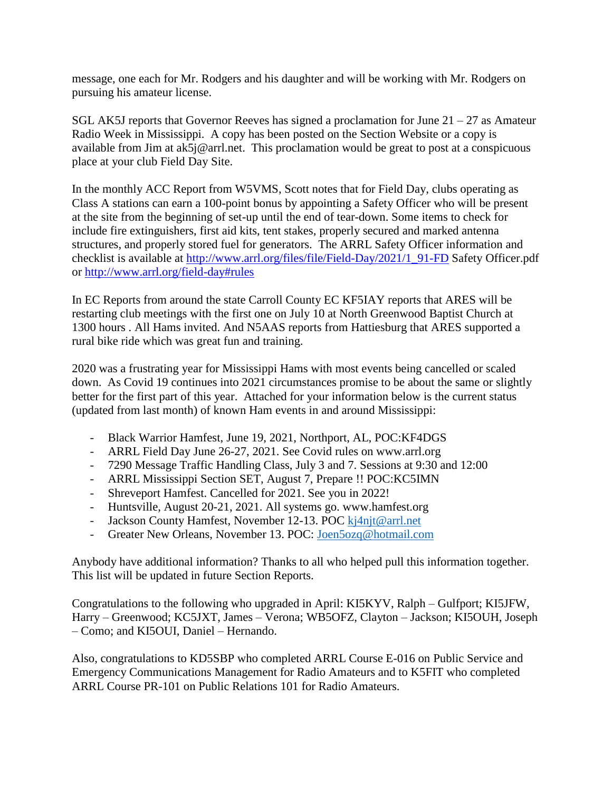message, one each for Mr. Rodgers and his daughter and will be working with Mr. Rodgers on pursuing his amateur license.

SGL AK5J reports that Governor Reeves has signed a proclamation for June  $21 - 27$  as Amateur Radio Week in Mississippi. A copy has been posted on the Section Website or a copy is available from Jim at ak5j@arrl.net. This proclamation would be great to post at a conspicuous place at your club Field Day Site.

In the monthly ACC Report from W5VMS, Scott notes that for Field Day, clubs operating as Class A stations can earn a 100-point bonus by appointing a Safety Officer who will be present at the site from the beginning of set-up until the end of tear-down. Some items to check for include fire extinguishers, first aid kits, tent stakes, properly secured and marked antenna structures, and properly stored fuel for generators. The ARRL Safety Officer information and checklist is available at [http://www.arrl.org/files/file/Field-Day/2021/1\\_91-FD](http://www.arrl.org/files/file/Field-Day/2021/1_91-FD) Safety Officer.pdf or <http://www.arrl.org/field-day#rules>

In EC Reports from around the state Carroll County EC KF5IAY reports that ARES will be restarting club meetings with the first one on July 10 at North Greenwood Baptist Church at 1300 hours . All Hams invited. And N5AAS reports from Hattiesburg that ARES supported a rural bike ride which was great fun and training.

2020 was a frustrating year for Mississippi Hams with most events being cancelled or scaled down. As Covid 19 continues into 2021 circumstances promise to be about the same or slightly better for the first part of this year. Attached for your information below is the current status (updated from last month) of known Ham events in and around Mississippi:

- Black Warrior Hamfest, June 19, 2021, Northport, AL, POC:KF4DGS
- ARRL Field Day June 26-27, 2021. See Covid rules on www.arrl.org
- 7290 Message Traffic Handling Class, July 3 and 7. Sessions at 9:30 and 12:00
- ARRL Mississippi Section SET, August 7, Prepare !! POC:KC5IMN
- Shreveport Hamfest. Cancelled for 2021. See you in 2022!
- Huntsville, August 20-21, 2021. All systems go. www.hamfest.org
- Jackson County Hamfest, November 12-13. POC [kj4njt@arrl.net](mailto:kj4njt@arrl.net)
- Greater New Orleans, November 13. POC: [Joen5ozq@hotmail.com](mailto:Joen5ozq@hotmail.com)

Anybody have additional information? Thanks to all who helped pull this information together. This list will be updated in future Section Reports.

Congratulations to the following who upgraded in April: KI5KYV, Ralph – Gulfport; KI5JFW, Harry – Greenwood; KC5JXT, James – Verona; WB5OFZ, Clayton – Jackson; KI5OUH, Joseph – Como; and KI5OUI, Daniel – Hernando.

Also, congratulations to KD5SBP who completed ARRL Course E-016 on Public Service and Emergency Communications Management for Radio Amateurs and to K5FIT who completed ARRL Course PR-101 on Public Relations 101 for Radio Amateurs.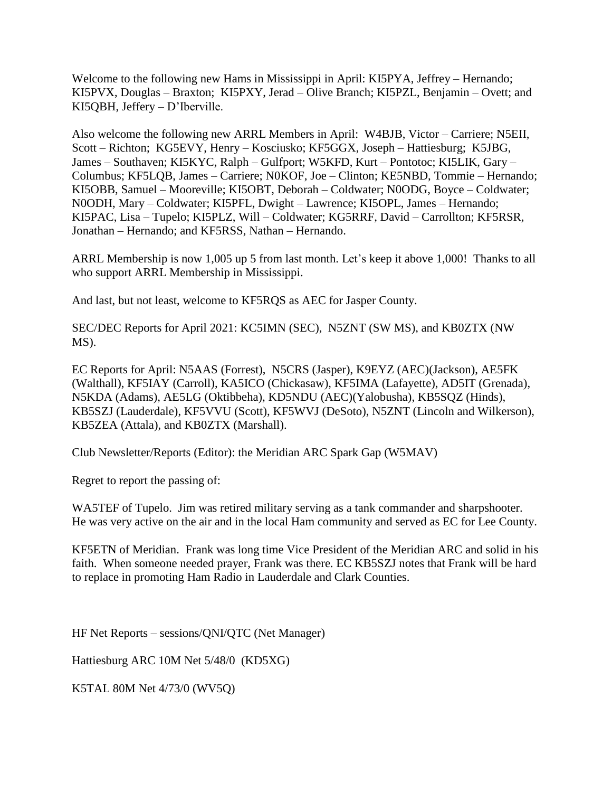Welcome to the following new Hams in Mississippi in April: KI5PYA, Jeffrey – Hernando; KI5PVX, Douglas – Braxton; KI5PXY, Jerad – Olive Branch; KI5PZL, Benjamin – Ovett; and KI5QBH, Jeffery – D'Iberville.

Also welcome the following new ARRL Members in April: W4BJB, Victor – Carriere; N5EII, Scott – Richton; KG5EVY, Henry – Kosciusko; KF5GGX, Joseph – Hattiesburg; K5JBG, James – Southaven; KI5KYC, Ralph – Gulfport; W5KFD, Kurt – Pontotoc; KI5LIK, Gary – Columbus; KF5LQB, James – Carriere; N0KOF, Joe – Clinton; KE5NBD, Tommie – Hernando; KI5OBB, Samuel – Mooreville; KI5OBT, Deborah – Coldwater; N0ODG, Boyce – Coldwater; N0ODH, Mary – Coldwater; KI5PFL, Dwight – Lawrence; KI5OPL, James – Hernando; KI5PAC, Lisa – Tupelo; KI5PLZ, Will – Coldwater; KG5RRF, David – Carrollton; KF5RSR, Jonathan – Hernando; and KF5RSS, Nathan – Hernando.

ARRL Membership is now 1,005 up 5 from last month. Let's keep it above 1,000! Thanks to all who support ARRL Membership in Mississippi.

And last, but not least, welcome to KF5RQS as AEC for Jasper County.

SEC/DEC Reports for April 2021: KC5IMN (SEC), N5ZNT (SW MS), and KB0ZTX (NW MS).

EC Reports for April: N5AAS (Forrest), N5CRS (Jasper), K9EYZ (AEC)(Jackson), AE5FK (Walthall), KF5IAY (Carroll), KA5ICO (Chickasaw), KF5IMA (Lafayette), AD5IT (Grenada), N5KDA (Adams), AE5LG (Oktibbeha), KD5NDU (AEC)(Yalobusha), KB5SQZ (Hinds), KB5SZJ (Lauderdale), KF5VVU (Scott), KF5WVJ (DeSoto), N5ZNT (Lincoln and Wilkerson), KB5ZEA (Attala), and KB0ZTX (Marshall).

Club Newsletter/Reports (Editor): the Meridian ARC Spark Gap (W5MAV)

Regret to report the passing of:

WA5TEF of Tupelo. Jim was retired military serving as a tank commander and sharpshooter. He was very active on the air and in the local Ham community and served as EC for Lee County.

KF5ETN of Meridian. Frank was long time Vice President of the Meridian ARC and solid in his faith. When someone needed prayer, Frank was there. EC KB5SZJ notes that Frank will be hard to replace in promoting Ham Radio in Lauderdale and Clark Counties.

HF Net Reports – sessions/QNI/QTC (Net Manager)

Hattiesburg ARC 10M Net 5/48/0 (KD5XG)

K5TAL 80M Net 4/73/0 (WV5Q)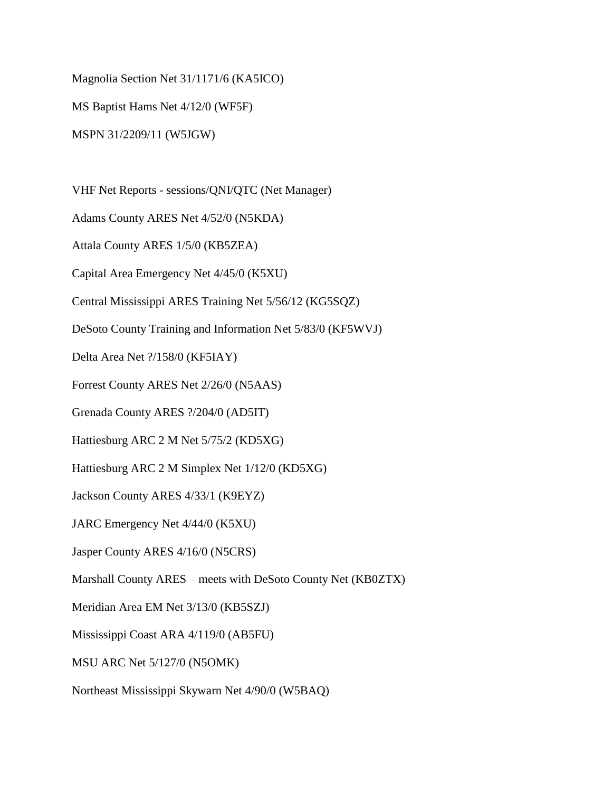Magnolia Section Net 31/1171/6 (KA5ICO)

MS Baptist Hams Net 4/12/0 (WF5F)

MSPN 31/2209/11 (W5JGW)

VHF Net Reports - sessions/QNI/QTC (Net Manager)

Adams County ARES Net 4/52/0 (N5KDA)

Attala County ARES 1/5/0 (KB5ZEA)

Capital Area Emergency Net 4/45/0 (K5XU)

Central Mississippi ARES Training Net 5/56/12 (KG5SQZ)

DeSoto County Training and Information Net 5/83/0 (KF5WVJ)

Delta Area Net ?/158/0 (KF5IAY)

Forrest County ARES Net 2/26/0 (N5AAS)

Grenada County ARES ?/204/0 (AD5IT)

Hattiesburg ARC 2 M Net 5/75/2 (KD5XG)

Hattiesburg ARC 2 M Simplex Net 1/12/0 (KD5XG)

Jackson County ARES 4/33/1 (K9EYZ)

JARC Emergency Net 4/44/0 (K5XU)

Jasper County ARES 4/16/0 (N5CRS)

Marshall County ARES – meets with DeSoto County Net (KB0ZTX)

Meridian Area EM Net 3/13/0 (KB5SZJ)

Mississippi Coast ARA 4/119/0 (AB5FU)

MSU ARC Net 5/127/0 (N5OMK)

Northeast Mississippi Skywarn Net 4/90/0 (W5BAQ)